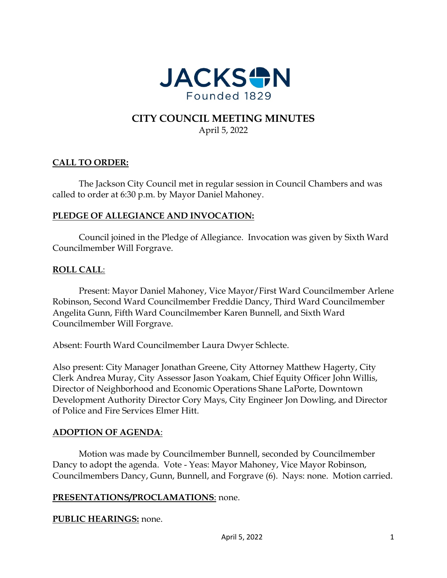

# **CITY COUNCIL MEETING MINUTES** April 5, 2022

# **CALL TO ORDER:**

The Jackson City Council met in regular session in Council Chambers and was called to order at 6:30 p.m. by Mayor Daniel Mahoney.

### **PLEDGE OF ALLEGIANCE AND INVOCATION:**

Council joined in the Pledge of Allegiance. Invocation was given by Sixth Ward Councilmember Will Forgrave.

### **ROLL CALL**:

Present: Mayor Daniel Mahoney, Vice Mayor/First Ward Councilmember Arlene Robinson, Second Ward Councilmember Freddie Dancy, Third Ward Councilmember Angelita Gunn, Fifth Ward Councilmember Karen Bunnell, and Sixth Ward Councilmember Will Forgrave.

Absent: Fourth Ward Councilmember Laura Dwyer Schlecte.

Also present: City Manager Jonathan Greene, City Attorney Matthew Hagerty, City Clerk Andrea Muray, City Assessor Jason Yoakam, Chief Equity Officer John Willis, Director of Neighborhood and Economic Operations Shane LaPorte, Downtown Development Authority Director Cory Mays, City Engineer Jon Dowling, and Director of Police and Fire Services Elmer Hitt.

#### **ADOPTION OF AGENDA**:

Motion was made by Councilmember Bunnell, seconded by Councilmember Dancy to adopt the agenda. Vote - Yeas: Mayor Mahoney, Vice Mayor Robinson, Councilmembers Dancy, Gunn, Bunnell, and Forgrave (6). Nays: none. Motion carried.

#### **PRESENTATIONS/PROCLAMATIONS**: none.

#### **PUBLIC HEARINGS:** none.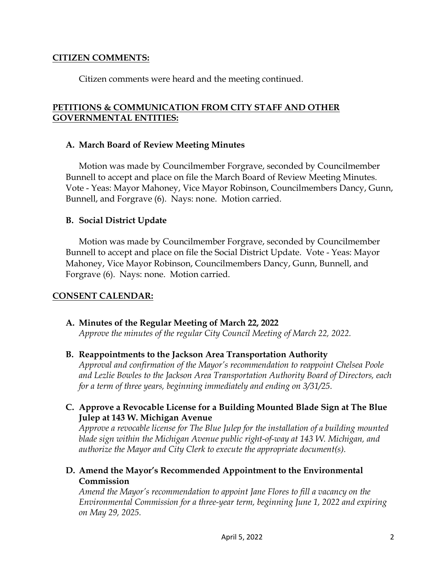#### **CITIZEN COMMENTS:**

Citizen comments were heard and the meeting continued.

### **PETITIONS & COMMUNICATION FROM CITY STAFF AND OTHER GOVERNMENTAL ENTITIES:**

#### **A. March Board of Review Meeting Minutes**

Motion was made by Councilmember Forgrave, seconded by Councilmember Bunnell to accept and place on file the March Board of Review Meeting Minutes. Vote - Yeas: Mayor Mahoney, Vice Mayor Robinson, Councilmembers Dancy, Gunn, Bunnell, and Forgrave (6). Nays: none. Motion carried.

### **B. Social District Update**

Motion was made by Councilmember Forgrave, seconded by Councilmember Bunnell to accept and place on file the Social District Update. Vote - Yeas: Mayor Mahoney, Vice Mayor Robinson, Councilmembers Dancy, Gunn, Bunnell, and Forgrave (6). Nays: none. Motion carried.

### **CONSENT CALENDAR:**

# **A. Minutes of the Regular Meeting of March 22, 2022**

*Approve the minutes of the regular City Council Meeting of March 22, 2022.* 

#### **B. Reappointments to the Jackson Area Transportation Authority**

*Approval and confirmation of the Mayor's recommendation to reappoint Chelsea Poole and Lezlie Bowles to the Jackson Area Transportation Authority Board of Directors, each for a term of three years, beginning immediately and ending on 3/31/25.* 

### **C. Approve a Revocable License for a Building Mounted Blade Sign at The Blue Julep at 143 W. Michigan Avenue**

*Approve a revocable license for The Blue Julep for the installation of a building mounted blade sign within the Michigan Avenue public right-of-way at 143 W. Michigan, and authorize the Mayor and City Clerk to execute the appropriate document(s).* 

### **D. Amend the Mayor's Recommended Appointment to the Environmental Commission**

*Amend the Mayor's recommendation to appoint Jane Flores to fill a vacancy on the Environmental Commission for a three-year term, beginning June 1, 2022 and expiring on May 29, 2025.*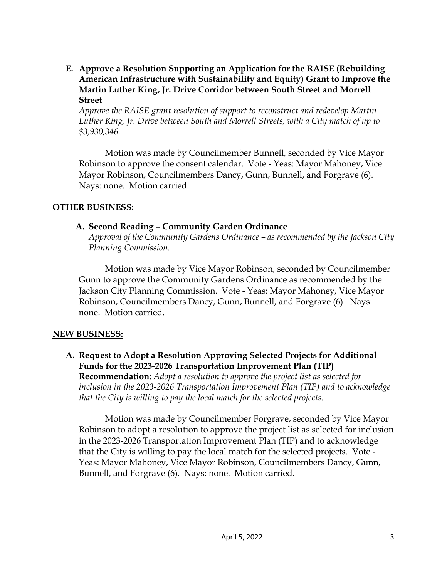**E. Approve a Resolution Supporting an Application for the RAISE (Rebuilding American Infrastructure with Sustainability and Equity) Grant to Improve the Martin Luther King, Jr. Drive Corridor between South Street and Morrell Street** 

*Approve the RAISE grant resolution of support to reconstruct and redevelop Martin Luther King, Jr. Drive between South and Morrell Streets, with a City match of up to \$3,930,346.* 

Motion was made by Councilmember Bunnell, seconded by Vice Mayor Robinson to approve the consent calendar. Vote - Yeas: Mayor Mahoney, Vice Mayor Robinson, Councilmembers Dancy, Gunn, Bunnell, and Forgrave (6). Nays: none. Motion carried.

#### **OTHER BUSINESS:**

#### **A. Second Reading – Community Garden Ordinance**

*Approval of the Community Gardens Ordinance – as recommended by the Jackson City Planning Commission.* 

Motion was made by Vice Mayor Robinson, seconded by Councilmember Gunn to approve the Community Gardens Ordinance as recommended by the Jackson City Planning Commission. Vote - Yeas: Mayor Mahoney, Vice Mayor Robinson, Councilmembers Dancy, Gunn, Bunnell, and Forgrave (6). Nays: none. Motion carried.

#### **NEW BUSINESS:**

**A. Request to Adopt a Resolution Approving Selected Projects for Additional Funds for the 2023-2026 Transportation Improvement Plan (TIP) Recommendation:** *Adopt a resolution to approve the project list as selected for inclusion in the 2023-2026 Transportation Improvement Plan (TIP) and to acknowledge that the City is willing to pay the local match for the selected projects.* 

Motion was made by Councilmember Forgrave, seconded by Vice Mayor Robinson to adopt a resolution to approve the project list as selected for inclusion in the 2023-2026 Transportation Improvement Plan (TIP) and to acknowledge that the City is willing to pay the local match for the selected projects. Vote - Yeas: Mayor Mahoney, Vice Mayor Robinson, Councilmembers Dancy, Gunn, Bunnell, and Forgrave (6). Nays: none. Motion carried.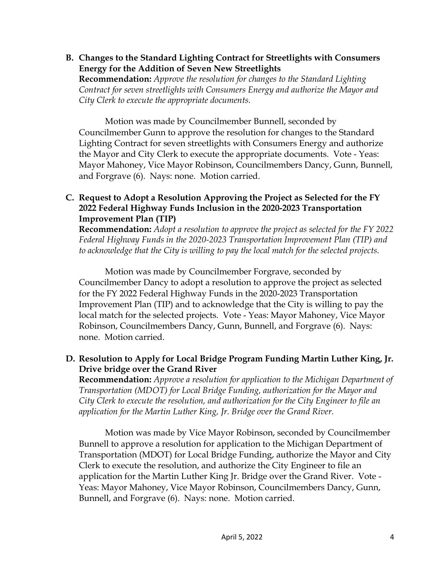**B. Changes to the Standard Lighting Contract for Streetlights with Consumers Energy for the Addition of Seven New Streetlights**

**Recommendation:** *Approve the resolution for changes to the Standard Lighting Contract for seven streetlights with Consumers Energy and authorize the Mayor and City Clerk to execute the appropriate documents.* 

Motion was made by Councilmember Bunnell, seconded by Councilmember Gunn to approve the resolution for changes to the Standard Lighting Contract for seven streetlights with Consumers Energy and authorize the Mayor and City Clerk to execute the appropriate documents. Vote - Yeas: Mayor Mahoney, Vice Mayor Robinson, Councilmembers Dancy, Gunn, Bunnell, and Forgrave (6). Nays: none. Motion carried.

### **C. Request to Adopt a Resolution Approving the Project as Selected for the FY 2022 Federal Highway Funds Inclusion in the 2020-2023 Transportation Improvement Plan (TIP)**

**Recommendation:** *Adopt a resolution to approve the project as selected for the FY 2022 Federal Highway Funds in the 2020-2023 Transportation Improvement Plan (TIP) and to acknowledge that the City is willing to pay the local match for the selected projects.* 

Motion was made by Councilmember Forgrave, seconded by Councilmember Dancy to adopt a resolution to approve the project as selected for the FY 2022 Federal Highway Funds in the 2020-2023 Transportation Improvement Plan (TIP) and to acknowledge that the City is willing to pay the local match for the selected projects. Vote - Yeas: Mayor Mahoney, Vice Mayor Robinson, Councilmembers Dancy, Gunn, Bunnell, and Forgrave (6). Nays: none. Motion carried.

# **D. Resolution to Apply for Local Bridge Program Funding Martin Luther King, Jr. Drive bridge over the Grand River**

**Recommendation:** *Approve a resolution for application to the Michigan Department of Transportation (MDOT) for Local Bridge Funding, authorization for the Mayor and City Clerk to execute the resolution, and authorization for the City Engineer to file an application for the Martin Luther King, Jr. Bridge over the Grand River.* 

Motion was made by Vice Mayor Robinson, seconded by Councilmember Bunnell to approve a resolution for application to the Michigan Department of Transportation (MDOT) for Local Bridge Funding, authorize the Mayor and City Clerk to execute the resolution, and authorize the City Engineer to file an application for the Martin Luther King Jr. Bridge over the Grand River. Vote - Yeas: Mayor Mahoney, Vice Mayor Robinson, Councilmembers Dancy, Gunn, Bunnell, and Forgrave (6). Nays: none. Motion carried.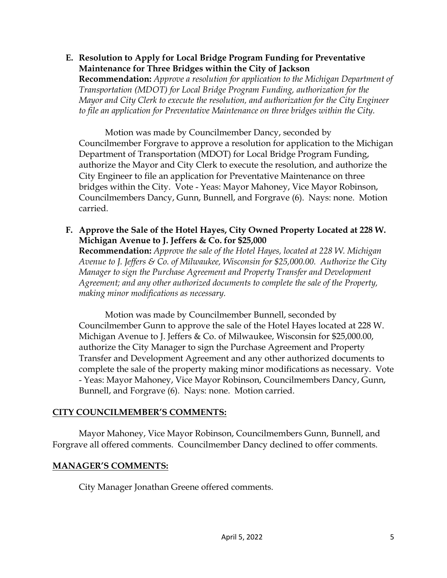**E. Resolution to Apply for Local Bridge Program Funding for Preventative Maintenance for Three Bridges within the City of Jackson** 

**Recommendation:** *Approve a resolution for application to the Michigan Department of Transportation (MDOT) for Local Bridge Program Funding, authorization for the Mayor and City Clerk to execute the resolution, and authorization for the City Engineer to file an application for Preventative Maintenance on three bridges within the City.* 

Motion was made by Councilmember Dancy, seconded by Councilmember Forgrave to approve a resolution for application to the Michigan Department of Transportation (MDOT) for Local Bridge Program Funding, authorize the Mayor and City Clerk to execute the resolution, and authorize the City Engineer to file an application for Preventative Maintenance on three bridges within the City. Vote - Yeas: Mayor Mahoney, Vice Mayor Robinson, Councilmembers Dancy, Gunn, Bunnell, and Forgrave (6). Nays: none. Motion carried.

**F. Approve the Sale of the Hotel Hayes, City Owned Property Located at 228 W. Michigan Avenue to J. Jeffers & Co. for \$25,000**

**Recommendation:** *Approve the sale of the Hotel Hayes, located at 228 W. Michigan Avenue to J. Jeffers & Co. of Milwaukee, Wisconsin for \$25,000.00. Authorize the City Manager to sign the Purchase Agreement and Property Transfer and Development Agreement; and any other authorized documents to complete the sale of the Property, making minor modifications as necessary.* 

Motion was made by Councilmember Bunnell, seconded by Councilmember Gunn to approve the sale of the Hotel Hayes located at 228 W. Michigan Avenue to J. Jeffers & Co. of Milwaukee, Wisconsin for \$25,000.00, authorize the City Manager to sign the Purchase Agreement and Property Transfer and Development Agreement and any other authorized documents to complete the sale of the property making minor modifications as necessary. Vote - Yeas: Mayor Mahoney, Vice Mayor Robinson, Councilmembers Dancy, Gunn, Bunnell, and Forgrave (6). Nays: none. Motion carried.

### **CITY COUNCILMEMBER'S COMMENTS:**

Mayor Mahoney, Vice Mayor Robinson, Councilmembers Gunn, Bunnell, and Forgrave all offered comments. Councilmember Dancy declined to offer comments.

### **MANAGER'S COMMENTS:**

City Manager Jonathan Greene offered comments.